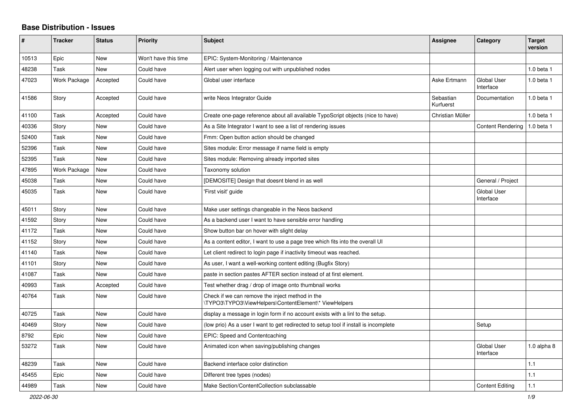## **Base Distribution - Issues**

| #     | <b>Tracker</b> | <b>Status</b> | <b>Priority</b>      | <b>Subject</b>                                                                                           | <b>Assignee</b>        | Category                        | <b>Target</b><br>version |
|-------|----------------|---------------|----------------------|----------------------------------------------------------------------------------------------------------|------------------------|---------------------------------|--------------------------|
| 10513 | Epic           | <b>New</b>    | Won't have this time | EPIC: System-Monitoring / Maintenance                                                                    |                        |                                 |                          |
| 48238 | Task           | <b>New</b>    | Could have           | Alert user when logging out with unpublished nodes                                                       |                        |                                 | 1.0 beta 1               |
| 47023 | Work Package   | Accepted      | Could have           | Global user interface                                                                                    | Aske Ertmann           | <b>Global User</b><br>Interface | 1.0 beta 1               |
| 41586 | Story          | Accepted      | Could have           | write Neos Integrator Guide                                                                              | Sebastian<br>Kurfuerst | Documentation                   | 1.0 beta 1               |
| 41100 | Task           | Accepted      | Could have           | Create one-page reference about all available TypoScript objects (nice to have)                          | Christian Müller       |                                 | $1.0$ beta $1$           |
| 40336 | Story          | <b>New</b>    | Could have           | As a Site Integrator I want to see a list of rendering issues                                            |                        | <b>Content Rendering</b>        | 1.0 beta 1               |
| 52400 | Task           | <b>New</b>    | Could have           | Fmm: Open button action should be changed                                                                |                        |                                 |                          |
| 52396 | Task           | <b>New</b>    | Could have           | Sites module: Error message if name field is empty                                                       |                        |                                 |                          |
| 52395 | Task           | New           | Could have           | Sites module: Removing already imported sites                                                            |                        |                                 |                          |
| 47895 | Work Package   | <b>New</b>    | Could have           | Taxonomy solution                                                                                        |                        |                                 |                          |
| 45038 | Task           | New           | Could have           | [DEMOSITE] Design that doesnt blend in as well                                                           |                        | General / Project               |                          |
| 45035 | Task           | <b>New</b>    | Could have           | 'First visit' guide                                                                                      |                        | <b>Global User</b><br>Interface |                          |
| 45011 | Story          | <b>New</b>    | Could have           | Make user settings changeable in the Neos backend                                                        |                        |                                 |                          |
| 41592 | Story          | <b>New</b>    | Could have           | As a backend user I want to have sensible error handling                                                 |                        |                                 |                          |
| 41172 | Task           | <b>New</b>    | Could have           | Show button bar on hover with slight delay                                                               |                        |                                 |                          |
| 41152 | Story          | <b>New</b>    | Could have           | As a content editor, I want to use a page tree which fits into the overall UI                            |                        |                                 |                          |
| 41140 | Task           | <b>New</b>    | Could have           | Let client redirect to login page if inactivity timeout was reached.                                     |                        |                                 |                          |
| 41101 | Story          | <b>New</b>    | Could have           | As user, I want a well-working content editing (Bugfix Story)                                            |                        |                                 |                          |
| 41087 | Task           | New           | Could have           | paste in section pastes AFTER section instead of at first element.                                       |                        |                                 |                          |
| 40993 | Task           | Accepted      | Could have           | Test whether drag / drop of image onto thumbnail works                                                   |                        |                                 |                          |
| 40764 | Task           | <b>New</b>    | Could have           | Check if we can remove the inject method in the<br>\TYPO3\TYPO3\ViewHelpers\ContentElement\* ViewHelpers |                        |                                 |                          |
| 40725 | Task           | <b>New</b>    | Could have           | display a message in login form if no account exists with a linl to the setup.                           |                        |                                 |                          |
| 40469 | Story          | <b>New</b>    | Could have           | (low prio) As a user I want to get redirected to setup tool if install is incomplete                     |                        | Setup                           |                          |
| 8792  | Epic           | New           | Could have           | EPIC: Speed and Contentcaching                                                                           |                        |                                 |                          |
| 53272 | Task           | <b>New</b>    | Could have           | Animated icon when saving/publishing changes                                                             |                        | <b>Global User</b><br>Interface | 1.0 alpha $8$            |
| 48239 | Task           | <b>New</b>    | Could have           | Backend interface color distinction                                                                      |                        |                                 | 1.1                      |
| 45455 | Epic           | <b>New</b>    | Could have           | Different tree types (nodes)                                                                             |                        |                                 | 1.1                      |
| 44989 | Task           | New           | Could have           | Make Section/ContentCollection subclassable                                                              |                        | <b>Content Editing</b>          | 1.1                      |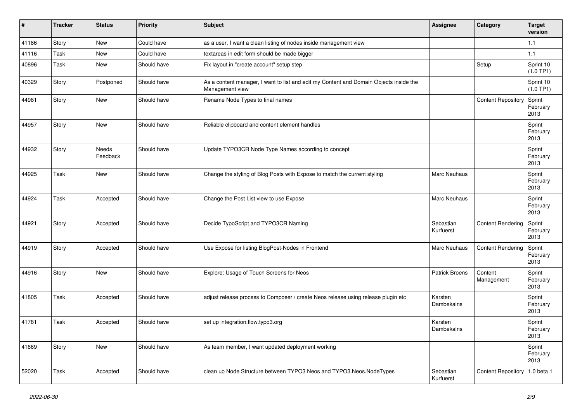| #     | <b>Tracker</b> | <b>Status</b>     | <b>Priority</b> | Subject                                                                                                   | <b>Assignee</b>        | Category                  | <b>Target</b><br>version   |
|-------|----------------|-------------------|-----------------|-----------------------------------------------------------------------------------------------------------|------------------------|---------------------------|----------------------------|
| 41186 | Story          | New               | Could have      | as a user, I want a clean listing of nodes inside management view                                         |                        |                           | 1.1                        |
| 41116 | Task           | <b>New</b>        | Could have      | textareas in edit form should be made bigger                                                              |                        |                           | 1.1                        |
| 40896 | Task           | <b>New</b>        | Should have     | Fix layout in "create account" setup step                                                                 |                        | Setup                     | Sprint 10<br>$(1.0$ TP1)   |
| 40329 | Story          | Postponed         | Should have     | As a content manager, I want to list and edit my Content and Domain Objects inside the<br>Management view |                        |                           | Sprint 10<br>(1.0 TP1)     |
| 44981 | Story          | New               | Should have     | Rename Node Types to final names                                                                          |                        | <b>Content Repository</b> | Sprint<br>February<br>2013 |
| 44957 | Story          | <b>New</b>        | Should have     | Reliable clipboard and content element handles                                                            |                        |                           | Sprint<br>February<br>2013 |
| 44932 | Story          | Needs<br>Feedback | Should have     | Update TYPO3CR Node Type Names according to concept                                                       |                        |                           | Sprint<br>February<br>2013 |
| 44925 | Task           | <b>New</b>        | Should have     | Change the styling of Blog Posts with Expose to match the current styling                                 | <b>Marc Neuhaus</b>    |                           | Sprint<br>February<br>2013 |
| 44924 | Task           | Accepted          | Should have     | Change the Post List view to use Expose                                                                   | <b>Marc Neuhaus</b>    |                           | Sprint<br>February<br>2013 |
| 44921 | Story          | Accepted          | Should have     | Decide TypoScript and TYPO3CR Naming                                                                      | Sebastian<br>Kurfuerst | <b>Content Rendering</b>  | Sprint<br>February<br>2013 |
| 44919 | Story          | Accepted          | Should have     | Use Expose for listing BlogPost-Nodes in Frontend                                                         | Marc Neuhaus           | <b>Content Rendering</b>  | Sprint<br>February<br>2013 |
| 44916 | Story          | <b>New</b>        | Should have     | Explore: Usage of Touch Screens for Neos                                                                  | <b>Patrick Broens</b>  | Content<br>Management     | Sprint<br>February<br>2013 |
| 41805 | Task           | Accepted          | Should have     | adjust release process to Composer / create Neos release using release plugin etc                         | Karsten<br>Dambekalns  |                           | Sprint<br>February<br>2013 |
| 41781 | Task           | Accepted          | Should have     | set up integration.flow.typo3.org                                                                         | Karsten<br>Dambekalns  |                           | Sprint<br>February<br>2013 |
| 41669 | Story          | New               | Should have     | As team member, I want updated deployment working                                                         |                        |                           | Sprint<br>February<br>2013 |
| 52020 | Task           | Accepted          | Should have     | clean up Node Structure between TYPO3 Neos and TYPO3.Neos.NodeTypes                                       | Sebastian<br>Kurfuerst | <b>Content Repository</b> | 1.0 beta 1                 |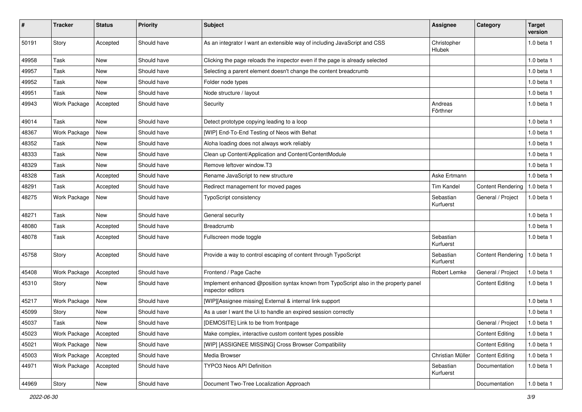| $\pmb{\#}$ | <b>Tracker</b>      | <b>Status</b> | <b>Priority</b> | <b>Subject</b>                                                                                            | Assignee               | Category                 | <b>Target</b><br>version |
|------------|---------------------|---------------|-----------------|-----------------------------------------------------------------------------------------------------------|------------------------|--------------------------|--------------------------|
| 50191      | Story               | Accepted      | Should have     | As an integrator I want an extensible way of including JavaScript and CSS                                 | Christopher<br>Hlubek  |                          | 1.0 beta 1               |
| 49958      | Task                | <b>New</b>    | Should have     | Clicking the page reloads the inspector even if the page is already selected                              |                        |                          | 1.0 beta 1               |
| 49957      | Task                | <b>New</b>    | Should have     | Selecting a parent element doesn't change the content breadcrumb                                          |                        |                          | 1.0 beta 1               |
| 49952      | Task                | New           | Should have     | Folder node types                                                                                         |                        |                          | 1.0 beta 1               |
| 49951      | Task                | New           | Should have     | Node structure / layout                                                                                   |                        |                          | $1.0$ beta $1$           |
| 49943      | Work Package        | Accepted      | Should have     | Security                                                                                                  | Andreas<br>Förthner    |                          | 1.0 beta 1               |
| 49014      | Task                | <b>New</b>    | Should have     | Detect prototype copying leading to a loop                                                                |                        |                          | 1.0 beta 1               |
| 48367      | Work Package        | New           | Should have     | [WIP] End-To-End Testing of Neos with Behat                                                               |                        |                          | $1.0$ beta $1$           |
| 48352      | Task                | <b>New</b>    | Should have     | Aloha loading does not always work reliably                                                               |                        |                          | $1.0$ beta $1$           |
| 48333      | Task                | New           | Should have     | Clean up Content/Application and Content/ContentModule                                                    |                        |                          | $1.0$ beta $1$           |
| 48329      | Task                | New           | Should have     | Remove leftover window.T3                                                                                 |                        |                          | 1.0 beta 1               |
| 48328      | Task                | Accepted      | Should have     | Rename JavaScript to new structure                                                                        | Aske Ertmann           |                          | 1.0 beta 1               |
| 48291      | Task                | Accepted      | Should have     | Redirect management for moved pages                                                                       | <b>Tim Kandel</b>      | <b>Content Rendering</b> | 1.0 beta 1               |
| 48275      | Work Package        | New           | Should have     | <b>TypoScript consistency</b>                                                                             | Sebastian<br>Kurfuerst | General / Project        | 1.0 beta 1               |
| 48271      | Task                | New           | Should have     | General security                                                                                          |                        |                          | $1.0$ beta $1$           |
| 48080      | Task                | Accepted      | Should have     | Breadcrumb                                                                                                |                        |                          | $1.0$ beta $1$           |
| 48078      | Task                | Accepted      | Should have     | Fullscreen mode toggle                                                                                    | Sebastian<br>Kurfuerst |                          | $1.0$ beta $1$           |
| 45758      | Story               | Accepted      | Should have     | Provide a way to control escaping of content through TypoScript                                           | Sebastian<br>Kurfuerst | <b>Content Rendering</b> | 1.0 beta 1               |
| 45408      | Work Package        | Accepted      | Should have     | Frontend / Page Cache                                                                                     | Robert Lemke           | General / Project        | 1.0 beta 1               |
| 45310      | Story               | <b>New</b>    | Should have     | Implement enhanced @position syntax known from TypoScript also in the property panel<br>inspector editors |                        | <b>Content Editing</b>   | 1.0 beta 1               |
| 45217      | <b>Work Package</b> | <b>New</b>    | Should have     | [WIP][Assignee missing] External & internal link support                                                  |                        |                          | 1.0 beta 1               |
| 45099      | Story               | New           | Should have     | As a user I want the Ui to handle an expired session correctly                                            |                        |                          | $1.0$ beta $1$           |
| 45037      | Task                | New           | Should have     | [DEMOSITE] Link to be from frontpage                                                                      |                        | General / Project        | 1.0 beta 1               |
| 45023      | Work Package        | Accepted      | Should have     | Make complex, interactive custom content types possible                                                   |                        | <b>Content Editing</b>   | 1.0 beta 1               |
| 45021      | Work Package        | New           | Should have     | [WIP] [ASSIGNEE MISSING] Cross Browser Compatibility                                                      |                        | <b>Content Editing</b>   | 1.0 beta 1               |
| 45003      | Work Package        | Accepted      | Should have     | Media Browser                                                                                             | Christian Müller       | <b>Content Editing</b>   | 1.0 beta 1               |
| 44971      | Work Package        | Accepted      | Should have     | <b>TYPO3 Neos API Definition</b>                                                                          | Sebastian<br>Kurfuerst | Documentation            | 1.0 beta 1               |
| 44969      | Story               | New           | Should have     | Document Two-Tree Localization Approach                                                                   |                        | Documentation            | 1.0 beta 1               |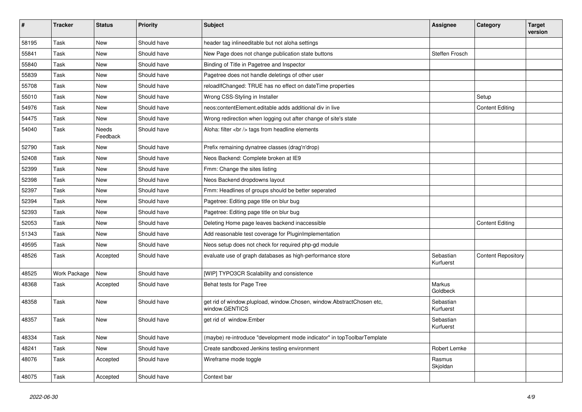| $\sharp$ | <b>Tracker</b> | <b>Status</b>     | <b>Priority</b> | <b>Subject</b>                                                                          | <b>Assignee</b>        | Category                  | <b>Target</b><br>version |
|----------|----------------|-------------------|-----------------|-----------------------------------------------------------------------------------------|------------------------|---------------------------|--------------------------|
| 58195    | Task           | <b>New</b>        | Should have     | header tag inlineeditable but not aloha settings                                        |                        |                           |                          |
| 55841    | Task           | New               | Should have     | New Page does not change publication state buttons                                      | Steffen Frosch         |                           |                          |
| 55840    | Task           | <b>New</b>        | Should have     | Binding of Title in Pagetree and Inspector                                              |                        |                           |                          |
| 55839    | Task           | <b>New</b>        | Should have     | Pagetree does not handle deletings of other user                                        |                        |                           |                          |
| 55708    | Task           | <b>New</b>        | Should have     | reloadIfChanged: TRUE has no effect on dateTime properties                              |                        |                           |                          |
| 55010    | Task           | <b>New</b>        | Should have     | Wrong CSS-Styling in Installer                                                          |                        | Setup                     |                          |
| 54976    | Task           | New               | Should have     | neos:contentElement.editable adds additional div in live                                |                        | <b>Content Editing</b>    |                          |
| 54475    | Task           | New               | Should have     | Wrong redirection when logging out after change of site's state                         |                        |                           |                          |
| 54040    | Task           | Needs<br>Feedback | Should have     | Aloha: filter<br>tags from headline elements                                            |                        |                           |                          |
| 52790    | Task           | <b>New</b>        | Should have     | Prefix remaining dynatree classes (drag'n'drop)                                         |                        |                           |                          |
| 52408    | Task           | New               | Should have     | Neos Backend: Complete broken at IE9                                                    |                        |                           |                          |
| 52399    | Task           | <b>New</b>        | Should have     | Fmm: Change the sites listing                                                           |                        |                           |                          |
| 52398    | Task           | <b>New</b>        | Should have     | Neos Backend dropdowns layout                                                           |                        |                           |                          |
| 52397    | Task           | New               | Should have     | Fmm: Headlines of groups should be better seperated                                     |                        |                           |                          |
| 52394    | Task           | <b>New</b>        | Should have     | Pagetree: Editing page title on blur bug                                                |                        |                           |                          |
| 52393    | Task           | New               | Should have     | Pagetree: Editing page title on blur bug                                                |                        |                           |                          |
| 52053    | Task           | <b>New</b>        | Should have     | Deleting Home page leaves backend inaccessible                                          |                        | <b>Content Editing</b>    |                          |
| 51343    | Task           | <b>New</b>        | Should have     | Add reasonable test coverage for PluginImplementation                                   |                        |                           |                          |
| 49595    | Task           | New               | Should have     | Neos setup does not check for required php-gd module                                    |                        |                           |                          |
| 48526    | Task           | Accepted          | Should have     | evaluate use of graph databases as high-performance store                               | Sebastian<br>Kurfuerst | <b>Content Repository</b> |                          |
| 48525    | Work Package   | New               | Should have     | [WIP] TYPO3CR Scalability and consistence                                               |                        |                           |                          |
| 48368    | Task           | Accepted          | Should have     | Behat tests for Page Tree                                                               | Markus<br>Goldbeck     |                           |                          |
| 48358    | Task           | <b>New</b>        | Should have     | get rid of window.plupload, window.Chosen, window.AbstractChosen etc,<br>window.GENTICS | Sebastian<br>Kurfuerst |                           |                          |
| 48357    | Task           | <b>New</b>        | Should have     | get rid of window.Ember                                                                 | Sebastian<br>Kurfuerst |                           |                          |
| 48334    | Task           | New               | Should have     | (maybe) re-introduce "development mode indicator" in topToolbarTemplate                 |                        |                           |                          |
| 48241    | Task           | New               | Should have     | Create sandboxed Jenkins testing environment                                            | Robert Lemke           |                           |                          |
| 48076    | Task           | Accepted          | Should have     | Wireframe mode toggle                                                                   | Rasmus<br>Skjoldan     |                           |                          |
| 48075    | Task           | Accepted          | Should have     | Context bar                                                                             |                        |                           |                          |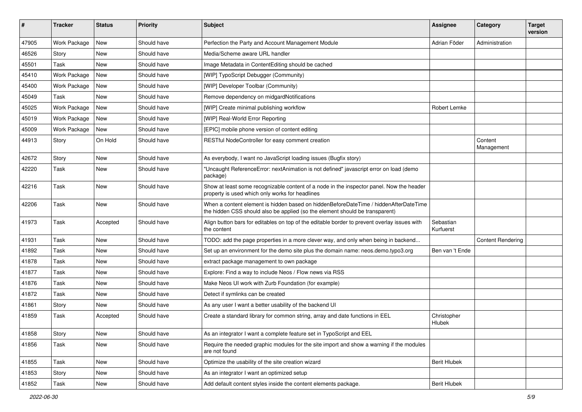| #     | <b>Tracker</b> | <b>Status</b> | <b>Priority</b> | Subject                                                                                                                                                              | <b>Assignee</b>        | Category                 | <b>Target</b><br>version |
|-------|----------------|---------------|-----------------|----------------------------------------------------------------------------------------------------------------------------------------------------------------------|------------------------|--------------------------|--------------------------|
| 47905 | Work Package   | New           | Should have     | Perfection the Party and Account Management Module                                                                                                                   | Adrian Föder           | Administration           |                          |
| 46526 | Story          | <b>New</b>    | Should have     | Media/Scheme aware URL handler                                                                                                                                       |                        |                          |                          |
| 45501 | Task           | <b>New</b>    | Should have     | Image Metadata in ContentEditing should be cached                                                                                                                    |                        |                          |                          |
| 45410 | Work Package   | <b>New</b>    | Should have     | [WIP] TypoScript Debugger (Community)                                                                                                                                |                        |                          |                          |
| 45400 | Work Package   | New           | Should have     | [WIP] Developer Toolbar (Community)                                                                                                                                  |                        |                          |                          |
| 45049 | Task           | New           | Should have     | Remove dependency on midgardNotifications                                                                                                                            |                        |                          |                          |
| 45025 | Work Package   | New           | Should have     | [WIP] Create minimal publishing workflow                                                                                                                             | Robert Lemke           |                          |                          |
| 45019 | Work Package   | New           | Should have     | [WIP] Real-World Error Reporting                                                                                                                                     |                        |                          |                          |
| 45009 | Work Package   | <b>New</b>    | Should have     | [EPIC] mobile phone version of content editing                                                                                                                       |                        |                          |                          |
| 44913 | Story          | On Hold       | Should have     | RESTful NodeController for easy comment creation                                                                                                                     |                        | Content<br>Management    |                          |
| 42672 | Story          | <b>New</b>    | Should have     | As everybody, I want no JavaScript loading issues (Bugfix story)                                                                                                     |                        |                          |                          |
| 42220 | Task           | <b>New</b>    | Should have     | "Uncaught ReferenceError: nextAnimation is not defined" javascript error on load (demo<br>package)                                                                   |                        |                          |                          |
| 42216 | Task           | <b>New</b>    | Should have     | Show at least some recognizable content of a node in the inspector panel. Now the header<br>property is used which only works for headlines                          |                        |                          |                          |
| 42206 | Task           | <b>New</b>    | Should have     | When a content element is hidden based on hiddenBeforeDateTime / hiddenAfterDateTime<br>the hidden CSS should also be applied (so the element should be transparent) |                        |                          |                          |
| 41973 | Task           | Accepted      | Should have     | Align button bars for editables on top of the editable border to prevent overlay issues with<br>the content                                                          | Sebastian<br>Kurfuerst |                          |                          |
| 41931 | Task           | <b>New</b>    | Should have     | TODO: add the page properties in a more clever way, and only when being in backend                                                                                   |                        | <b>Content Rendering</b> |                          |
| 41892 | Task           | <b>New</b>    | Should have     | Set up an environment for the demo site plus the domain name: neos.demo.typo3.org                                                                                    | Ben van 't Ende        |                          |                          |
| 41878 | Task           | New           | Should have     | extract package management to own package                                                                                                                            |                        |                          |                          |
| 41877 | Task           | <b>New</b>    | Should have     | Explore: Find a way to include Neos / Flow news via RSS                                                                                                              |                        |                          |                          |
| 41876 | Task           | <b>New</b>    | Should have     | Make Neos UI work with Zurb Foundation (for example)                                                                                                                 |                        |                          |                          |
| 41872 | Task           | New           | Should have     | Detect if symlinks can be created                                                                                                                                    |                        |                          |                          |
| 41861 | Story          | New           | Should have     | As any user I want a better usability of the backend UI                                                                                                              |                        |                          |                          |
| 41859 | Task           | Accepted      | Should have     | Create a standard library for common string, array and date functions in EEL                                                                                         | Christopher<br>Hlubek  |                          |                          |
| 41858 | Story          | New           | Should have     | As an integrator I want a complete feature set in TypoScript and EEL                                                                                                 |                        |                          |                          |
| 41856 | Task           | New           | Should have     | Require the needed graphic modules for the site import and show a warning if the modules<br>are not found                                                            |                        |                          |                          |
| 41855 | Task           | <b>New</b>    | Should have     | Optimize the usability of the site creation wizard                                                                                                                   | <b>Berit Hlubek</b>    |                          |                          |
| 41853 | Story          | New           | Should have     | As an integrator I want an optimized setup                                                                                                                           |                        |                          |                          |
| 41852 | Task           | New           | Should have     | Add default content styles inside the content elements package.                                                                                                      | <b>Berit Hlubek</b>    |                          |                          |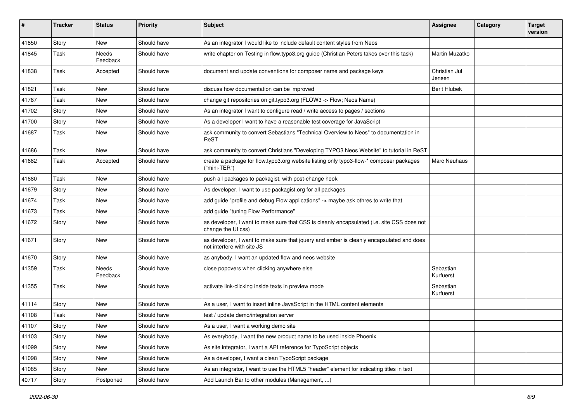| $\pmb{\#}$ | <b>Tracker</b> | <b>Status</b>     | <b>Priority</b> | <b>Subject</b>                                                                                                         | <b>Assignee</b>         | Category | <b>Target</b><br>version |
|------------|----------------|-------------------|-----------------|------------------------------------------------------------------------------------------------------------------------|-------------------------|----------|--------------------------|
| 41850      | Story          | <b>New</b>        | Should have     | As an integrator I would like to include default content styles from Neos                                              |                         |          |                          |
| 41845      | Task           | Needs<br>Feedback | Should have     | write chapter on Testing in flow typo3 org guide (Christian Peters takes over this task)                               | Martin Muzatko          |          |                          |
| 41838      | Task           | Accepted          | Should have     | document and update conventions for composer name and package keys                                                     | Christian Jul<br>Jensen |          |                          |
| 41821      | Task           | <b>New</b>        | Should have     | discuss how documentation can be improved                                                                              | <b>Berit Hlubek</b>     |          |                          |
| 41787      | Task           | New               | Should have     | change git repositories on git.typo3.org (FLOW3 -> Flow; Neos Name)                                                    |                         |          |                          |
| 41702      | Story          | New               | Should have     | As an integrator I want to configure read / write access to pages / sections                                           |                         |          |                          |
| 41700      | Story          | <b>New</b>        | Should have     | As a developer I want to have a reasonable test coverage for JavaScript                                                |                         |          |                          |
| 41687      | Task           | New               | Should have     | ask community to convert Sebastians "Technical Overview to Neos" to documentation in<br>ReST                           |                         |          |                          |
| 41686      | Task           | <b>New</b>        | Should have     | ask community to convert Christians "Developing TYPO3 Neos Website" to tutorial in ReST                                |                         |          |                          |
| 41682      | Task           | Accepted          | Should have     | create a package for flow.typo3.org website listing only typo3-flow-* composer packages<br>("mini-TER")                | Marc Neuhaus            |          |                          |
| 41680      | Task           | New               | Should have     | push all packages to packagist, with post-change hook                                                                  |                         |          |                          |
| 41679      | Story          | New               | Should have     | As developer, I want to use packagist.org for all packages                                                             |                         |          |                          |
| 41674      | Task           | <b>New</b>        | Should have     | add guide "profile and debug Flow applications" -> maybe ask othres to write that                                      |                         |          |                          |
| 41673      | Task           | New               | Should have     | add guide "tuning Flow Performance"                                                                                    |                         |          |                          |
| 41672      | Story          | New               | Should have     | as developer, I want to make sure that CSS is cleanly encapsulated (i.e. site CSS does not<br>change the UI css)       |                         |          |                          |
| 41671      | Story          | <b>New</b>        | Should have     | as developer, I want to make sure that jquery and ember is cleanly encapsulated and does<br>not interfere with site JS |                         |          |                          |
| 41670      | Story          | New               | Should have     | as anybody, I want an updated flow and neos website                                                                    |                         |          |                          |
| 41359      | Task           | Needs<br>Feedback | Should have     | close popovers when clicking anywhere else                                                                             | Sebastian<br>Kurfuerst  |          |                          |
| 41355      | Task           | New               | Should have     | activate link-clicking inside texts in preview mode                                                                    | Sebastian<br>Kurfuerst  |          |                          |
| 41114      | Story          | <b>New</b>        | Should have     | As a user, I want to insert inline JavaScript in the HTML content elements                                             |                         |          |                          |
| 41108      | Task           | New               | Should have     | test / update demo/integration server                                                                                  |                         |          |                          |
| 41107      | Story          | New               | Should have     | As a user, I want a working demo site                                                                                  |                         |          |                          |
| 41103      | Story          | New               | Should have     | As everybody, I want the new product name to be used inside Phoenix                                                    |                         |          |                          |
| 41099      | Story          | New               | Should have     | As site integrator, I want a API reference for TypoScript objects                                                      |                         |          |                          |
| 41098      | Story          | New               | Should have     | As a developer, I want a clean TypoScript package                                                                      |                         |          |                          |
| 41085      | Story          | New               | Should have     | As an integrator, I want to use the HTML5 "header" element for indicating titles in text                               |                         |          |                          |
| 40717      | Story          | Postponed         | Should have     | Add Launch Bar to other modules (Management, )                                                                         |                         |          |                          |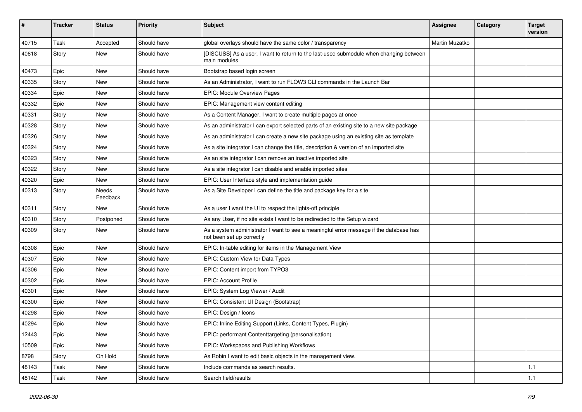| #     | <b>Tracker</b> | <b>Status</b>     | Priority    | Subject                                                                                                             | <b>Assignee</b> | Category | <b>Target</b><br>version |
|-------|----------------|-------------------|-------------|---------------------------------------------------------------------------------------------------------------------|-----------------|----------|--------------------------|
| 40715 | Task           | Accepted          | Should have | global overlays should have the same color / transparency                                                           | Martin Muzatko  |          |                          |
| 40618 | Story          | New               | Should have | [DISCUSS] As a user, I want to return to the last-used submodule when changing between<br>main modules              |                 |          |                          |
| 40473 | Epic           | <b>New</b>        | Should have | Bootstrap based login screen                                                                                        |                 |          |                          |
| 40335 | Story          | New               | Should have | As an Administrator, I want to run FLOW3 CLI commands in the Launch Bar                                             |                 |          |                          |
| 40334 | Epic           | <b>New</b>        | Should have | EPIC: Module Overview Pages                                                                                         |                 |          |                          |
| 40332 | Epic           | <b>New</b>        | Should have | EPIC: Management view content editing                                                                               |                 |          |                          |
| 40331 | Story          | <b>New</b>        | Should have | As a Content Manager, I want to create multiple pages at once                                                       |                 |          |                          |
| 40328 | Story          | <b>New</b>        | Should have | As an administrator I can export selected parts of an existing site to a new site package                           |                 |          |                          |
| 40326 | Story          | <b>New</b>        | Should have | As an administrator I can create a new site package using an existing site as template                              |                 |          |                          |
| 40324 | Story          | <b>New</b>        | Should have | As a site integrator I can change the title, description & version of an imported site                              |                 |          |                          |
| 40323 | Story          | New               | Should have | As an site integrator I can remove an inactive imported site                                                        |                 |          |                          |
| 40322 | Story          | <b>New</b>        | Should have | As a site integrator I can disable and enable imported sites                                                        |                 |          |                          |
| 40320 | Epic           | <b>New</b>        | Should have | EPIC: User Interface style and implementation guide                                                                 |                 |          |                          |
| 40313 | Story          | Needs<br>Feedback | Should have | As a Site Developer I can define the title and package key for a site                                               |                 |          |                          |
| 40311 | Story          | <b>New</b>        | Should have | As a user I want the UI to respect the lights-off principle                                                         |                 |          |                          |
| 40310 | Story          | Postponed         | Should have | As any User, if no site exists I want to be redirected to the Setup wizard                                          |                 |          |                          |
| 40309 | Story          | <b>New</b>        | Should have | As a system administrator I want to see a meaningful error message if the database has<br>not been set up correctly |                 |          |                          |
| 40308 | Epic           | <b>New</b>        | Should have | EPIC: In-table editing for items in the Management View                                                             |                 |          |                          |
| 40307 | Epic           | <b>New</b>        | Should have | EPIC: Custom View for Data Types                                                                                    |                 |          |                          |
| 40306 | Epic           | <b>New</b>        | Should have | EPIC: Content import from TYPO3                                                                                     |                 |          |                          |
| 40302 | Epic           | New               | Should have | <b>EPIC: Account Profile</b>                                                                                        |                 |          |                          |
| 40301 | Epic           | <b>New</b>        | Should have | EPIC: System Log Viewer / Audit                                                                                     |                 |          |                          |
| 40300 | Epic           | New               | Should have | EPIC: Consistent UI Design (Bootstrap)                                                                              |                 |          |                          |
| 40298 | Epic           | New               | Should have | EPIC: Design / Icons                                                                                                |                 |          |                          |
| 40294 | Epic           | New               | Should have | EPIC: Inline Editing Support (Links, Content Types, Plugin)                                                         |                 |          |                          |
| 12443 | Epic           | New               | Should have | EPIC: performant Contenttargeting (personalisation)                                                                 |                 |          |                          |
| 10509 | Epic           | New               | Should have | EPIC: Workspaces and Publishing Workflows                                                                           |                 |          |                          |
| 8798  | Story          | On Hold           | Should have | As Robin I want to edit basic objects in the management view.                                                       |                 |          |                          |
| 48143 | Task           | New               | Should have | Include commands as search results.                                                                                 |                 |          | 1.1                      |
| 48142 | Task           | New               | Should have | Search field/results                                                                                                |                 |          | $1.1$                    |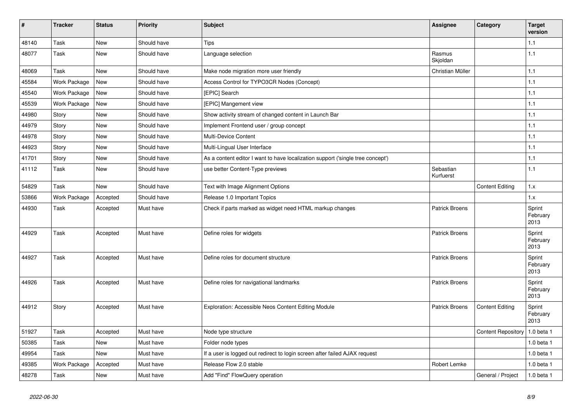| $\vert$ # | <b>Tracker</b> | <b>Status</b> | <b>Priority</b> | <b>Subject</b>                                                                  | <b>Assignee</b>        | Category                  | <b>Target</b><br>version   |
|-----------|----------------|---------------|-----------------|---------------------------------------------------------------------------------|------------------------|---------------------------|----------------------------|
| 48140     | Task           | <b>New</b>    | Should have     | <b>Tips</b>                                                                     |                        |                           | 1.1                        |
| 48077     | Task           | New           | Should have     | Language selection                                                              | Rasmus<br>Skjoldan     |                           | 1.1                        |
| 48069     | Task           | <b>New</b>    | Should have     | Make node migration more user friendly                                          | Christian Müller       |                           | $1.1$                      |
| 45584     | Work Package   | <b>New</b>    | Should have     | Access Control for TYPO3CR Nodes (Concept)                                      |                        |                           | 1.1                        |
| 45540     | Work Package   | New           | Should have     | [EPIC] Search                                                                   |                        |                           | 1.1                        |
| 45539     | Work Package   | <b>New</b>    | Should have     | [EPIC] Mangement view                                                           |                        |                           | 1.1                        |
| 44980     | Story          | <b>New</b>    | Should have     | Show activity stream of changed content in Launch Bar                           |                        |                           | 1.1                        |
| 44979     | Story          | <b>New</b>    | Should have     | Implement Frontend user / group concept                                         |                        |                           | 1.1                        |
| 44978     | Story          | <b>New</b>    | Should have     | Multi-Device Content                                                            |                        |                           | 1.1                        |
| 44923     | Story          | New           | Should have     | Multi-Lingual User Interface                                                    |                        |                           | 1.1                        |
| 41701     | Story          | <b>New</b>    | Should have     | As a content editor I want to have localization support ('single tree concept') |                        |                           | 1.1                        |
| 41112     | Task           | <b>New</b>    | Should have     | use better Content-Type previews                                                | Sebastian<br>Kurfuerst |                           | 1.1                        |
| 54829     | Task           | <b>New</b>    | Should have     | Text with Image Alignment Options                                               |                        | <b>Content Editing</b>    | 1.x                        |
| 53866     | Work Package   | Accepted      | Should have     | Release 1.0 Important Topics                                                    |                        |                           | 1.x                        |
| 44930     | Task           | Accepted      | Must have       | Check if parts marked as widget need HTML markup changes                        | <b>Patrick Broens</b>  |                           | Sprint<br>February<br>2013 |
| 44929     | Task           | Accepted      | Must have       | Define roles for widgets                                                        | <b>Patrick Broens</b>  |                           | Sprint<br>February<br>2013 |
| 44927     | Task           | Accepted      | Must have       | Define roles for document structure                                             | <b>Patrick Broens</b>  |                           | Sprint<br>February<br>2013 |
| 44926     | Task           | Accepted      | Must have       | Define roles for navigational landmarks                                         | Patrick Broens         |                           | Sprint<br>February<br>2013 |
| 44912     | Story          | Accepted      | Must have       | Exploration: Accessible Neos Content Editing Module                             | <b>Patrick Broens</b>  | <b>Content Editing</b>    | Sprint<br>February<br>2013 |
| 51927     | Task           | Accepted      | Must have       | Node type structure                                                             |                        | <b>Content Repository</b> | 1.0 beta 1                 |
| 50385     | Task           | New           | Must have       | Folder node types                                                               |                        |                           | $1.0$ beta $1$             |
| 49954     | Task           | New           | Must have       | If a user is logged out redirect to login screen after failed AJAX request      |                        |                           | 1.0 beta 1                 |
| 49385     | Work Package   | Accepted      | Must have       | Release Flow 2.0 stable                                                         | Robert Lemke           |                           | 1.0 beta 1                 |
| 48278     | Task           | <b>New</b>    | Must have       | Add "Find" FlowQuery operation                                                  |                        | General / Project         | 1.0 beta 1                 |